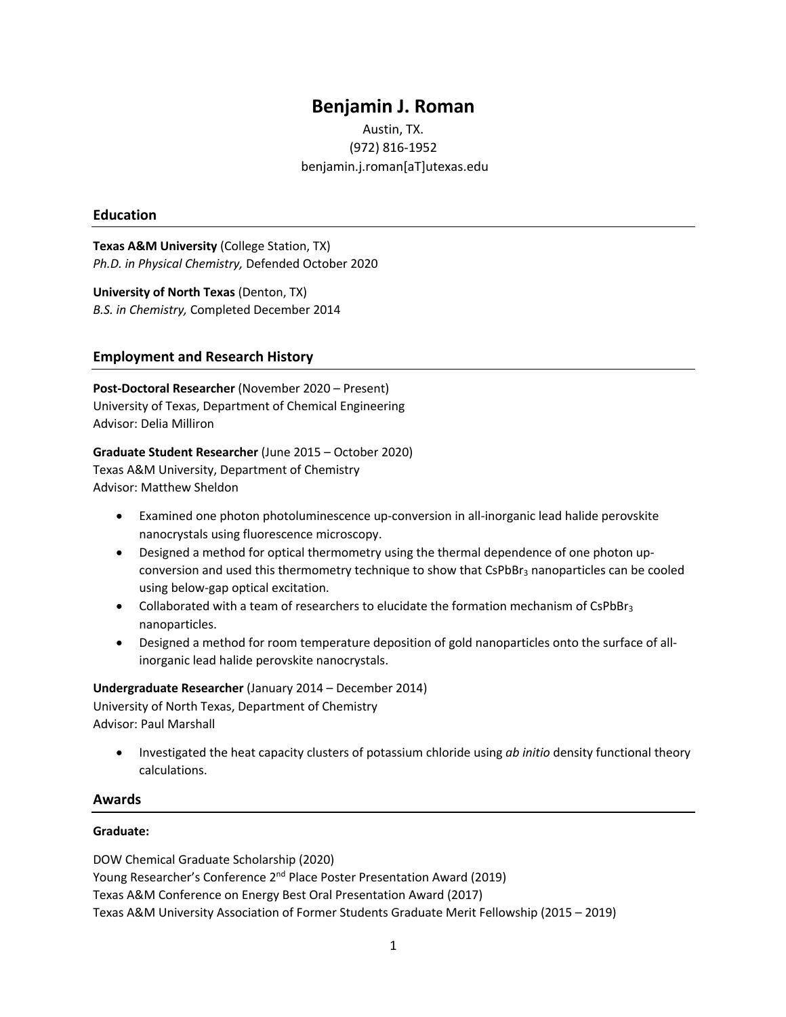# **Benjamin J. Roman**

## Austin, TX. (972) 816-1952 benjamin.j.roman[aT]utexas.edu

## **Education**

**Texas A&M University** (College Station, TX) *Ph.D. in Physical Chemistry,* Defended October 2020

**University of North Texas** (Denton, TX) *B.S. in Chemistry,* Completed December 2014

## **Employment and Research History**

**Post-Doctoral Researcher** (November 2020 – Present) University of Texas, Department of Chemical Engineering Advisor: Delia Milliron

**Graduate Student Researcher** (June 2015 – October 2020) Texas A&M University, Department of Chemistry Advisor: Matthew Sheldon

- Examined one photon photoluminescence up-conversion in all-inorganic lead halide perovskite nanocrystals using fluorescence microscopy.
- Designed a method for optical thermometry using the thermal dependence of one photon upconversion and used this thermometry technique to show that CsPbBr<sub>3</sub> nanoparticles can be cooled using below-gap optical excitation.
- Collaborated with a team of researchers to elucidate the formation mechanism of CsPbBr<sub>3</sub> nanoparticles.
- Designed a method for room temperature deposition of gold nanoparticles onto the surface of allinorganic lead halide perovskite nanocrystals.

## **Undergraduate Researcher** (January 2014 – December 2014)

University of North Texas, Department of Chemistry Advisor: Paul Marshall

• Investigated the heat capacity clusters of potassium chloride using *ab initio* density functional theory calculations.

## **Awards**

#### **Graduate:**

DOW Chemical Graduate Scholarship (2020) Young Researcher's Conference 2nd Place Poster Presentation Award (2019) Texas A&M Conference on Energy Best Oral Presentation Award (2017) Texas A&M University Association of Former Students Graduate Merit Fellowship (2015 – 2019)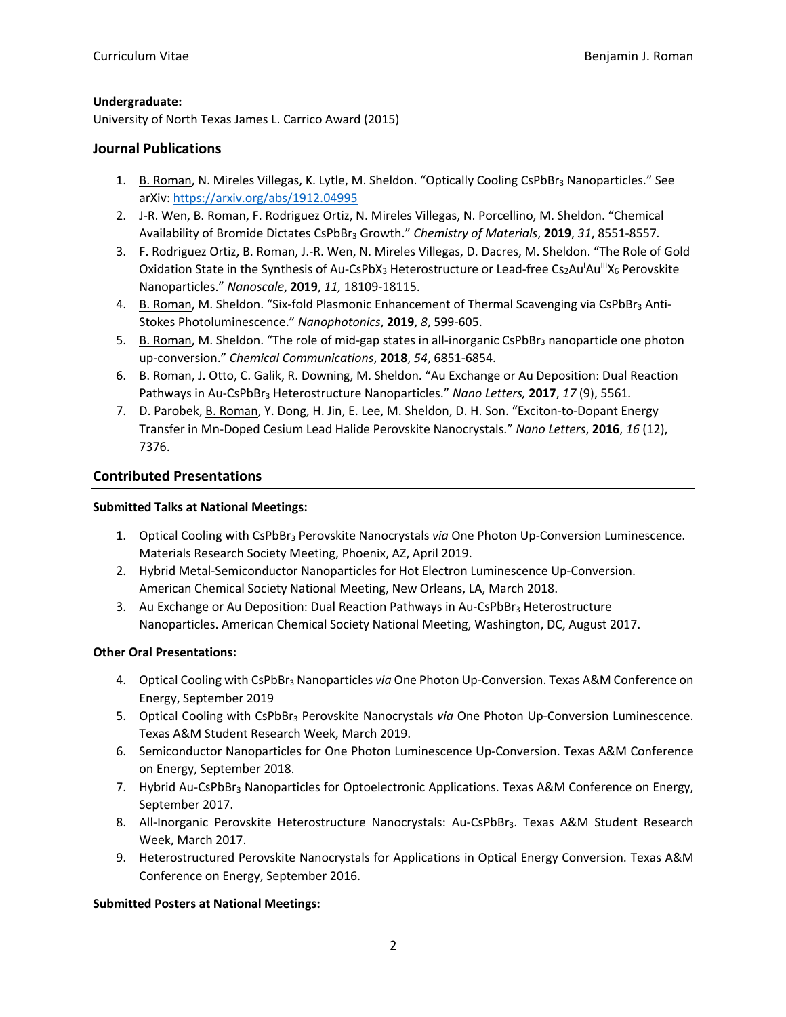#### **Undergraduate:**

University of North Texas James L. Carrico Award (2015)

#### **Journal Publications**

- 1. B. Roman, N. Mireles Villegas, K. Lytle, M. Sheldon. "Optically Cooling CsPbBr<sub>3</sub> Nanoparticles." See arXiv: https://arxiv.org/abs/1912.04995
- 2. J-R. Wen, B. Roman, F. Rodriguez Ortiz, N. Mireles Villegas, N. Porcellino, M. Sheldon. "Chemical Availability of Bromide Dictates CsPbBr3 Growth." *Chemistry of Materials*, **2019**, *31*, 8551-8557*.*
- 3. F. Rodriguez Ortiz, B. Roman, J.-R. Wen, N. Mireles Villegas, D. Dacres, M. Sheldon. "The Role of Gold Oxidation State in the Synthesis of Au-CsPbX<sub>3</sub> Heterostructure or Lead-free Cs<sub>2</sub>Au<sup>I</sup>Au<sup>III</sup>X<sub>6</sub> Perovskite Nanoparticles." *Nanoscale*, **2019**, *11,* 18109-18115.
- 4. B. Roman, M. Sheldon. "Six-fold Plasmonic Enhancement of Thermal Scavenging via CsPbBr<sub>3</sub> Anti-Stokes Photoluminescence." *Nanophotonics*, **2019**, *8*, 599-605.
- 5. B. Roman, M. Sheldon. "The role of mid-gap states in all-inorganic CsPbBr<sub>3</sub> nanoparticle one photon up-conversion." *Chemical Communications*, **2018**, *54*, 6851-6854.
- 6. B. Roman, J. Otto, C. Galik, R. Downing, M. Sheldon. "Au Exchange or Au Deposition: Dual Reaction Pathways in Au-CsPbBr3 Heterostructure Nanoparticles." *Nano Letters,* **2017**, *17* (9), 5561*.*
- 7. D. Parobek, B. Roman, Y. Dong, H. Jin, E. Lee, M. Sheldon, D. H. Son. "Exciton-to-Dopant Energy Transfer in Mn-Doped Cesium Lead Halide Perovskite Nanocrystals." *Nano Letters*, **2016**, *16* (12), 7376.

## **Contributed Presentations**

#### **Submitted Talks at National Meetings:**

- 1. Optical Cooling with CsPbBr<sub>3</sub> Perovskite Nanocrystals *via* One Photon Up-Conversion Luminescence. Materials Research Society Meeting, Phoenix, AZ, April 2019.
- 2. Hybrid Metal-Semiconductor Nanoparticles for Hot Electron Luminescence Up-Conversion. American Chemical Society National Meeting, New Orleans, LA, March 2018.
- 3. Au Exchange or Au Deposition: Dual Reaction Pathways in Au-CsPbBr<sub>3</sub> Heterostructure Nanoparticles. American Chemical Society National Meeting, Washington, DC, August 2017.

#### **Other Oral Presentations:**

- 4. Optical Cooling with CsPbBr3 Nanoparticles *via* One Photon Up-Conversion. Texas A&M Conference on Energy, September 2019
- 5. Optical Cooling with CsPbBr3 Perovskite Nanocrystals *via* One Photon Up-Conversion Luminescence. Texas A&M Student Research Week, March 2019.
- 6. Semiconductor Nanoparticles for One Photon Luminescence Up-Conversion. Texas A&M Conference on Energy, September 2018.
- 7. Hybrid Au-CsPbBr<sub>3</sub> Nanoparticles for Optoelectronic Applications. Texas A&M Conference on Energy, September 2017.
- 8. All-Inorganic Perovskite Heterostructure Nanocrystals: Au-CsPbBr<sub>3</sub>. Texas A&M Student Research Week, March 2017.
- 9. Heterostructured Perovskite Nanocrystals for Applications in Optical Energy Conversion. Texas A&M Conference on Energy, September 2016.

## **Submitted Posters at National Meetings:**